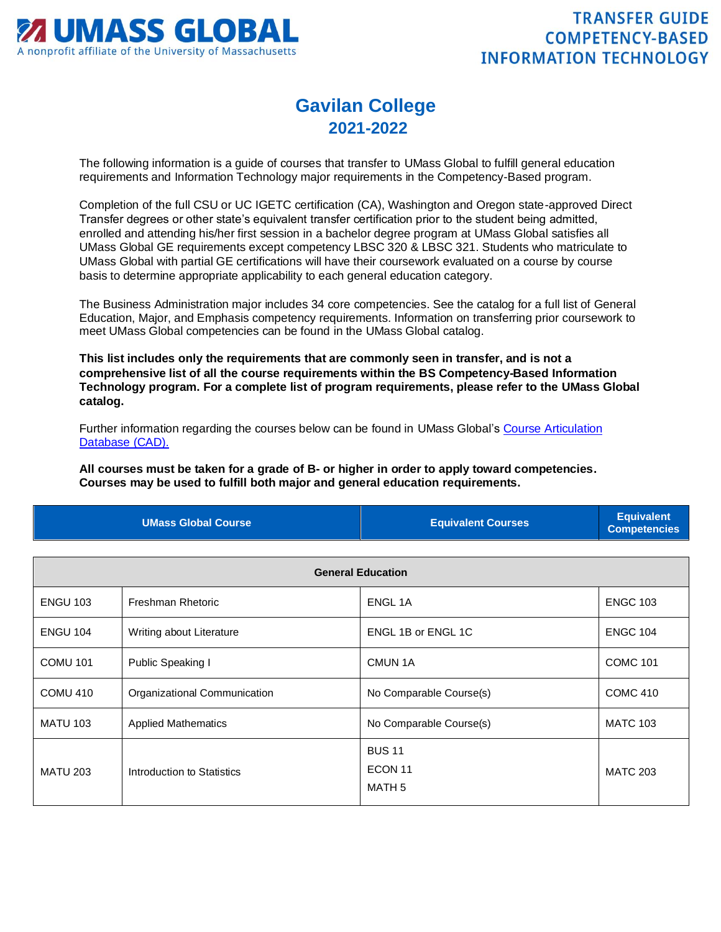

## **Gavilan College 2021-2022**

The following information is a guide of courses that transfer to UMass Global to fulfill general education requirements and Information Technology major requirements in the Competency-Based program.

Completion of the full CSU or UC IGETC certification (CA), Washington and Oregon state-approved Direct Transfer degrees or other state's equivalent transfer certification prior to the student being admitted, enrolled and attending his/her first session in a bachelor degree program at UMass Global satisfies all UMass Global GE requirements except competency LBSC 320 & LBSC 321. Students who matriculate to UMass Global with partial GE certifications will have their coursework evaluated on a course by course basis to determine appropriate applicability to each general education category.

The Business Administration major includes 34 core competencies. See the catalog for a full list of General Education, Major, and Emphasis competency requirements. Information on transferring prior coursework to meet UMass Global competencies can be found in the UMass Global catalog.

**This list includes only the requirements that are commonly seen in transfer, and is not a comprehensive list of all the course requirements within the BS Competency-Based Information Technology program. For a complete list of program requirements, please refer to the UMass Global catalog.**

Further information regarding the courses below can be found in UMass Global's [Course Articulation](http://services.umassglobal.edu/studentservices/TransferCredit/)  [Database \(CAD\).](http://services.umassglobal.edu/studentservices/TransferCredit/) 

**All courses must be taken for a grade of B- or higher in order to apply toward competencies. Courses may be used to fulfill both major and general education requirements.** 

| <b>UMass Global Course</b> | <b>Equivalent Courses</b> | <b>Equivalent</b><br>Competencies |
|----------------------------|---------------------------|-----------------------------------|
|                            |                           |                                   |

| <b>General Education</b> |                              |                                                          |                 |
|--------------------------|------------------------------|----------------------------------------------------------|-----------------|
| <b>ENGU 103</b>          | Freshman Rhetoric            | <b>ENGL1A</b>                                            | <b>ENGC 103</b> |
| <b>ENGU 104</b>          | Writing about Literature     | ENGL 1B or ENGL 1C                                       | <b>ENGC 104</b> |
| <b>COMU 101</b>          | Public Speaking I            | CMUN 1A                                                  | <b>COMC 101</b> |
| COMU 410                 | Organizational Communication | No Comparable Course(s)                                  | <b>COMC 410</b> |
| <b>MATU 103</b>          | <b>Applied Mathematics</b>   | No Comparable Course(s)                                  | <b>MATC 103</b> |
| <b>MATU 203</b>          | Introduction to Statistics   | <b>BUS 11</b><br>ECON <sub>11</sub><br>MATH <sub>5</sub> | <b>MATC 203</b> |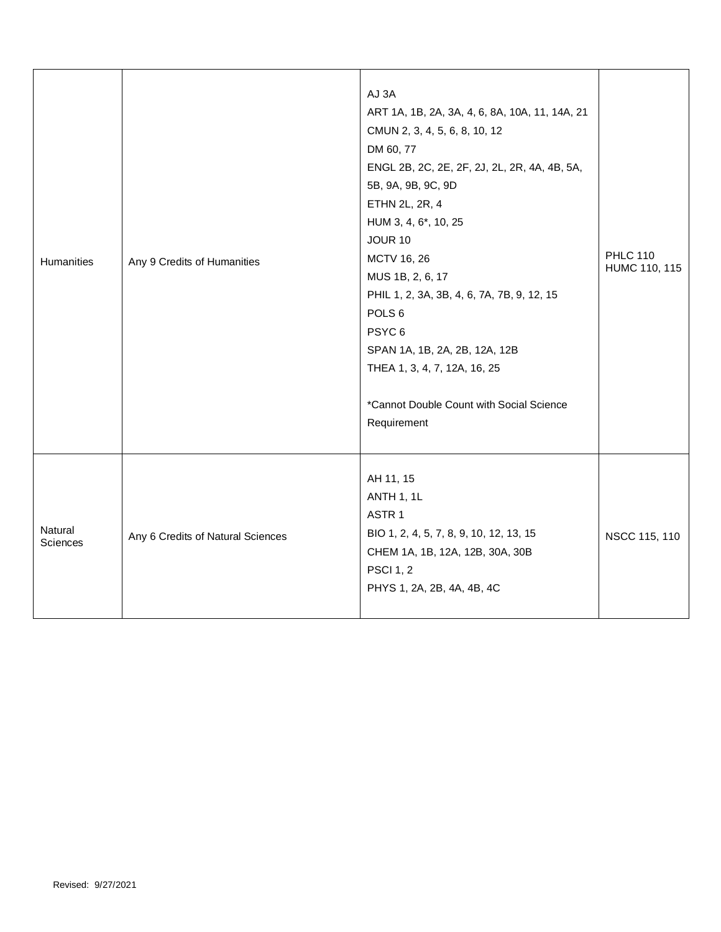| Humanities                 | Any 9 Credits of Humanities       | AJ 3A<br>ART 1A, 1B, 2A, 3A, 4, 6, 8A, 10A, 11, 14A, 21<br>CMUN 2, 3, 4, 5, 6, 8, 10, 12<br>DM 60, 77<br>ENGL 2B, 2C, 2E, 2F, 2J, 2L, 2R, 4A, 4B, 5A,<br>5B, 9A, 9B, 9C, 9D<br>ETHN 2L, 2R, 4<br>HUM 3, 4, 6*, 10, 25<br><b>JOUR 10</b><br>MCTV 16, 26<br>MUS 1B, 2, 6, 17<br>PHIL 1, 2, 3A, 3B, 4, 6, 7A, 7B, 9, 12, 15<br>POLS <sub>6</sub><br>PSYC <sub>6</sub><br>SPAN 1A, 1B, 2A, 2B, 12A, 12B<br>THEA 1, 3, 4, 7, 12A, 16, 25<br>*Cannot Double Count with Social Science<br>Requirement | <b>PHLC 110</b><br>HUMC 110, 115 |
|----------------------------|-----------------------------------|------------------------------------------------------------------------------------------------------------------------------------------------------------------------------------------------------------------------------------------------------------------------------------------------------------------------------------------------------------------------------------------------------------------------------------------------------------------------------------------------|----------------------------------|
| Natural<br><b>Sciences</b> | Any 6 Credits of Natural Sciences | AH 11, 15<br>ANTH 1, 1L<br>ASTR <sub>1</sub><br>BIO 1, 2, 4, 5, 7, 8, 9, 10, 12, 13, 15<br>CHEM 1A, 1B, 12A, 12B, 30A, 30B<br><b>PSCI 1, 2</b><br>PHYS 1, 2A, 2B, 4A, 4B, 4C                                                                                                                                                                                                                                                                                                                   | NSCC 115, 110                    |